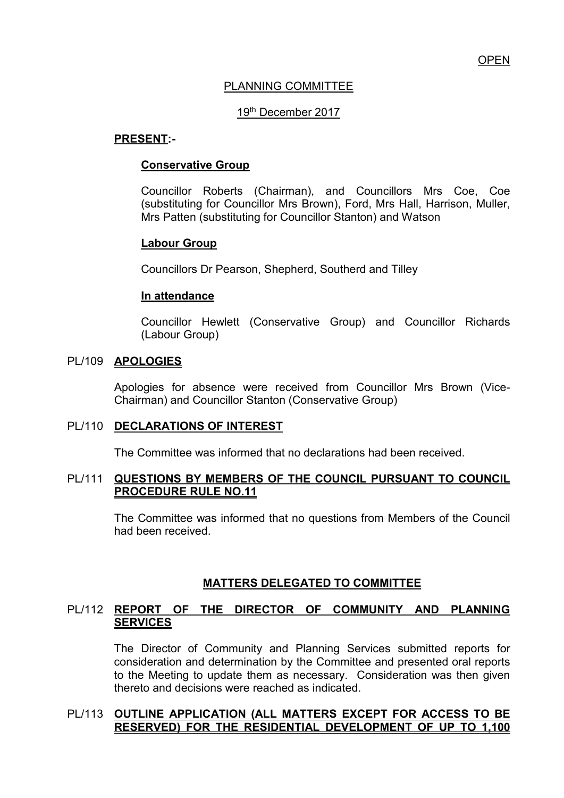# PLANNING COMMITTEE

# 19th December 2017

#### **PRESENT:-**

#### **Conservative Group**

Councillor Roberts (Chairman), and Councillors Mrs Coe, Coe (substituting for Councillor Mrs Brown), Ford, Mrs Hall, Harrison, Muller, Mrs Patten (substituting for Councillor Stanton) and Watson

#### **Labour Group**

Councillors Dr Pearson, Shepherd, Southerd and Tilley

#### **In attendance**

Councillor Hewlett (Conservative Group) and Councillor Richards (Labour Group)

#### PL/109 **APOLOGIES**

Apologies for absence were received from Councillor Mrs Brown (Vice-Chairman) and Councillor Stanton (Conservative Group)

#### PL/110 **DECLARATIONS OF INTEREST**

The Committee was informed that no declarations had been received.

#### PL/111 **QUESTIONS BY MEMBERS OF THE COUNCIL PURSUANT TO COUNCIL PROCEDURE RULE NO.11**

 The Committee was informed that no questions from Members of the Council had been received.

# **MATTERS DELEGATED TO COMMITTEE**

# PL/112 **REPORT OF THE DIRECTOR OF COMMUNITY AND PLANNING SERVICES**

The Director of Community and Planning Services submitted reports for consideration and determination by the Committee and presented oral reports to the Meeting to update them as necessary. Consideration was then given thereto and decisions were reached as indicated.

#### PL/113 **OUTLINE APPLICATION (ALL MATTERS EXCEPT FOR ACCESS TO BE RESERVED) FOR THE RESIDENTIAL DEVELOPMENT OF UP TO 1,100**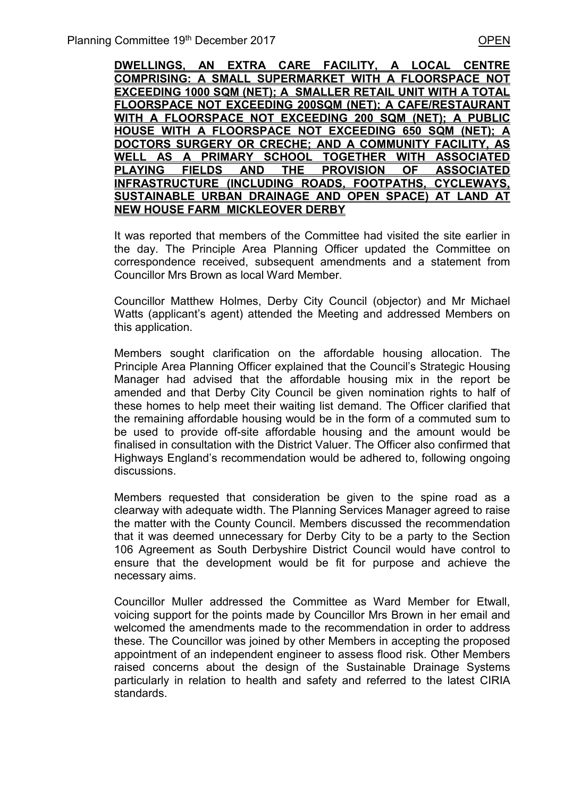**DWELLINGS, AN EXTRA CARE FACILITY, A LOCAL CENTRE COMPRISING: A SMALL SUPERMARKET WITH A FLOORSPACE NOT EXCEEDING 1000 SQM (NET); A SMALLER RETAIL UNIT WITH A TOTAL FLOORSPACE NOT EXCEEDING 200SQM (NET); A CAFE/RESTAURANT WITH A FLOORSPACE NOT EXCEEDING 200 SQM (NET); A PUBLIC HOUSE WITH A FLOORSPACE NOT EXCEEDING 650 SQM (NET); A DOCTORS SURGERY OR CRECHE; AND A COMMUNITY FACILITY, AS WELL AS A PRIMARY SCHOOL TOGETHER WITH ASSOCIATED PLAYING FIELDS AND THE PROVISION OF ASSOCIATED INFRASTRUCTURE (INCLUDING ROADS, FOOTPATHS, CYCLEWAYS, SUSTAINABLE URBAN DRAINAGE AND OPEN SPACE) AT LAND AT NEW HOUSE FARM MICKLEOVER DERBY** 

It was reported that members of the Committee had visited the site earlier in the day. The Principle Area Planning Officer updated the Committee on correspondence received, subsequent amendments and a statement from Councillor Mrs Brown as local Ward Member.

 Councillor Matthew Holmes, Derby City Council (objector) and Mr Michael Watts (applicant's agent) attended the Meeting and addressed Members on this application.

 Members sought clarification on the affordable housing allocation. The Principle Area Planning Officer explained that the Council's Strategic Housing Manager had advised that the affordable housing mix in the report be amended and that Derby City Council be given nomination rights to half of these homes to help meet their waiting list demand. The Officer clarified that the remaining affordable housing would be in the form of a commuted sum to be used to provide off-site affordable housing and the amount would be finalised in consultation with the District Valuer. The Officer also confirmed that Highways England's recommendation would be adhered to, following ongoing discussions.

 Members requested that consideration be given to the spine road as a clearway with adequate width. The Planning Services Manager agreed to raise the matter with the County Council. Members discussed the recommendation that it was deemed unnecessary for Derby City to be a party to the Section 106 Agreement as South Derbyshire District Council would have control to ensure that the development would be fit for purpose and achieve the necessary aims.

 Councillor Muller addressed the Committee as Ward Member for Etwall, voicing support for the points made by Councillor Mrs Brown in her email and welcomed the amendments made to the recommendation in order to address these. The Councillor was joined by other Members in accepting the proposed appointment of an independent engineer to assess flood risk. Other Members raised concerns about the design of the Sustainable Drainage Systems particularly in relation to health and safety and referred to the latest CIRIA standards.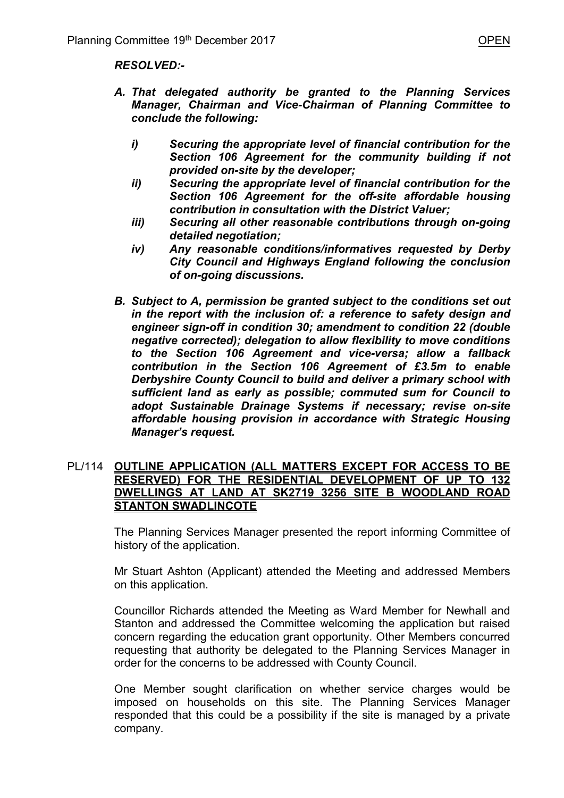- *A. That delegated authority be granted to the Planning Services Manager, Chairman and Vice-Chairman of Planning Committee to conclude the following:* 
	- *i) Securing the appropriate level of financial contribution for the Section 106 Agreement for the community building if not provided on-site by the developer;*
	- *ii) Securing the appropriate level of financial contribution for the Section 106 Agreement for the off-site affordable housing contribution in consultation with the District Valuer;*
	- *iii) Securing all other reasonable contributions through on-going detailed negotiation;*
	- *iv) Any reasonable conditions/informatives requested by Derby City Council and Highways England following the conclusion of on-going discussions.*
- *B. Subject to A, permission be granted subject to the conditions set out in the report with the inclusion of: a reference to safety design and engineer sign-off in condition 30; amendment to condition 22 (double negative corrected); delegation to allow flexibility to move conditions to the Section 106 Agreement and vice-versa; allow a fallback contribution in the Section 106 Agreement of £3.5m to enable Derbyshire County Council to build and deliver a primary school with sufficient land as early as possible; commuted sum for Council to adopt Sustainable Drainage Systems if necessary; revise on-site affordable housing provision in accordance with Strategic Housing Manager's request.*

#### PL/114 **OUTLINE APPLICATION (ALL MATTERS EXCEPT FOR ACCESS TO BE RESERVED) FOR THE RESIDENTIAL DEVELOPMENT OF UP TO 132 DWELLINGS AT LAND AT SK2719 3256 SITE B WOODLAND ROAD STANTON SWADLINCOTE**

 The Planning Services Manager presented the report informing Committee of history of the application.

 Mr Stuart Ashton (Applicant) attended the Meeting and addressed Members on this application.

 Councillor Richards attended the Meeting as Ward Member for Newhall and Stanton and addressed the Committee welcoming the application but raised concern regarding the education grant opportunity. Other Members concurred requesting that authority be delegated to the Planning Services Manager in order for the concerns to be addressed with County Council.

 One Member sought clarification on whether service charges would be imposed on households on this site. The Planning Services Manager responded that this could be a possibility if the site is managed by a private company.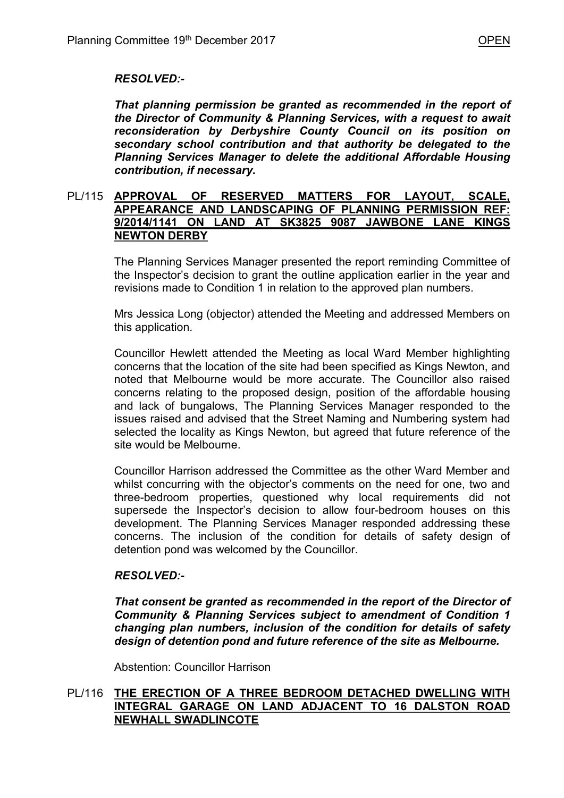# *RESOLVED:-*

*That planning permission be granted as recommended in the report of the Director of Community & Planning Services, with a request to await reconsideration by Derbyshire County Council on its position on secondary school contribution and that authority be delegated to the Planning Services Manager to delete the additional Affordable Housing contribution, if necessary.*

#### PL/115 **APPROVAL OF RESERVED MATTERS FOR LAYOUT, SCALE, APPEARANCE AND LANDSCAPING OF PLANNING PERMISSION REF: 9/2014/1141 ON LAND AT SK3825 9087 JAWBONE LANE KINGS NEWTON DERBY**

The Planning Services Manager presented the report reminding Committee of the Inspector's decision to grant the outline application earlier in the year and revisions made to Condition 1 in relation to the approved plan numbers.

Mrs Jessica Long (objector) attended the Meeting and addressed Members on this application.

Councillor Hewlett attended the Meeting as local Ward Member highlighting concerns that the location of the site had been specified as Kings Newton, and noted that Melbourne would be more accurate. The Councillor also raised concerns relating to the proposed design, position of the affordable housing and lack of bungalows, The Planning Services Manager responded to the issues raised and advised that the Street Naming and Numbering system had selected the locality as Kings Newton, but agreed that future reference of the site would be Melbourne.

Councillor Harrison addressed the Committee as the other Ward Member and whilst concurring with the objector's comments on the need for one, two and three-bedroom properties, questioned why local requirements did not supersede the Inspector's decision to allow four-bedroom houses on this development. The Planning Services Manager responded addressing these concerns. The inclusion of the condition for details of safety design of detention pond was welcomed by the Councillor.

# *RESOLVED:-*

*That consent be granted as recommended in the report of the Director of Community & Planning Services subject to amendment of Condition 1 changing plan numbers, inclusion of the condition for details of safety design of detention pond and future reference of the site as Melbourne.* 

Abstention: Councillor Harrison

# PL/116 **THE ERECTION OF A THREE BEDROOM DETACHED DWELLING WITH INTEGRAL GARAGE ON LAND ADJACENT TO 16 DALSTON ROAD NEWHALL SWADLINCOTE**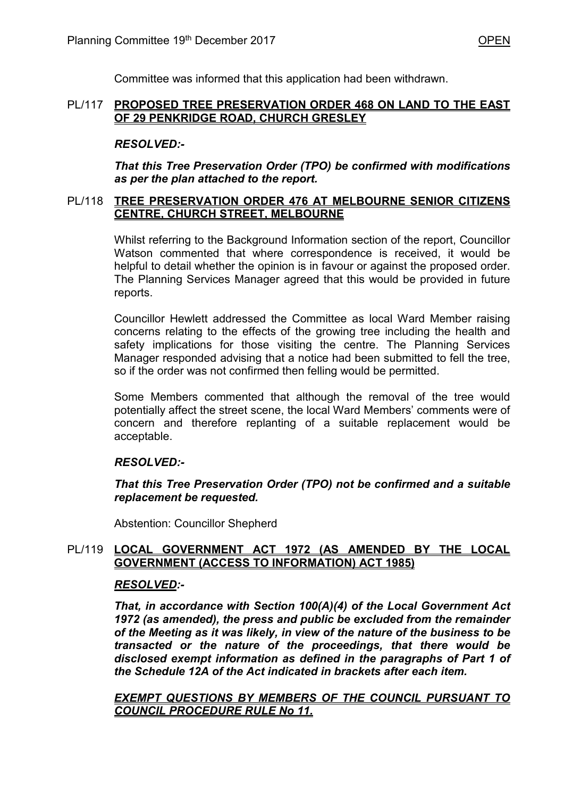Committee was informed that this application had been withdrawn.

# PL/117 **PROPOSED TREE PRESERVATION ORDER 468 ON LAND TO THE EAST OF 29 PENKRIDGE ROAD, CHURCH GRESLEY**

# *RESOLVED:-*

 *That this Tree Preservation Order (TPO) be confirmed with modifications as per the plan attached to the report.*

# PL/118 **TREE PRESERVATION ORDER 476 AT MELBOURNE SENIOR CITIZENS CENTRE, CHURCH STREET, MELBOURNE**

 Whilst referring to the Background Information section of the report, Councillor Watson commented that where correspondence is received, it would be helpful to detail whether the opinion is in favour or against the proposed order. The Planning Services Manager agreed that this would be provided in future reports.

 Councillor Hewlett addressed the Committee as local Ward Member raising concerns relating to the effects of the growing tree including the health and safety implications for those visiting the centre. The Planning Services Manager responded advising that a notice had been submitted to fell the tree, so if the order was not confirmed then felling would be permitted.

 Some Members commented that although the removal of the tree would potentially affect the street scene, the local Ward Members' comments were of concern and therefore replanting of a suitable replacement would be acceptable.

# *RESOLVED:-*

 *That this Tree Preservation Order (TPO) not be confirmed and a suitable replacement be requested.*

Abstention: Councillor Shepherd

# PL/119 **LOCAL GOVERNMENT ACT 1972 (AS AMENDED BY THE LOCAL GOVERNMENT (ACCESS TO INFORMATION) ACT 1985)**

# *RESOLVED:-*

*That, in accordance with Section 100(A)(4) of the Local Government Act 1972 (as amended), the press and public be excluded from the remainder of the Meeting as it was likely, in view of the nature of the business to be transacted or the nature of the proceedings, that there would be disclosed exempt information as defined in the paragraphs of Part 1 of the Schedule 12A of the Act indicated in brackets after each item.* 

 *EXEMPT QUESTIONS BY MEMBERS OF THE COUNCIL PURSUANT TO COUNCIL PROCEDURE RULE No 11.*